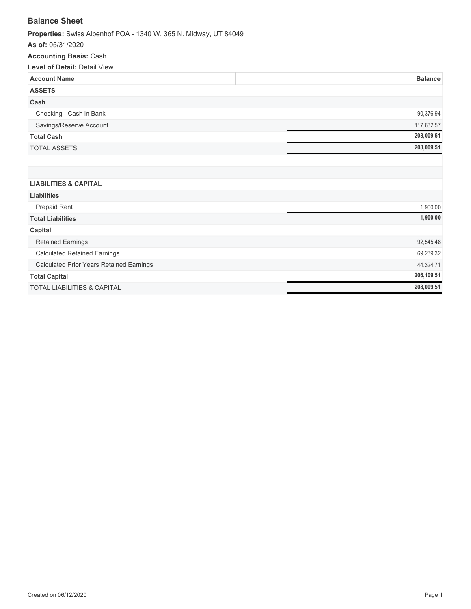## **Balance Sheet**

**Properties:** Swiss Alpenhof POA - 1340 W. 365 N. Midway, UT 84049

**As of:** 05/31/2020

### **Accounting Basis:** Cash

| <b>Level of Detail: Detail View</b>      |                |
|------------------------------------------|----------------|
| <b>Account Name</b>                      | <b>Balance</b> |
| <b>ASSETS</b>                            |                |
| Cash                                     |                |
| Checking - Cash in Bank                  | 90,376.94      |
| Savings/Reserve Account                  | 117,632.57     |
| <b>Total Cash</b>                        | 208,009.51     |
| <b>TOTAL ASSETS</b>                      | 208,009.51     |
|                                          |                |
|                                          |                |
| <b>LIABILITIES &amp; CAPITAL</b>         |                |
| <b>Liabilities</b>                       |                |
| Prepaid Rent                             | 1,900.00       |
| <b>Total Liabilities</b>                 | 1,900.00       |
| Capital                                  |                |
| <b>Retained Earnings</b>                 | 92,545.48      |
| <b>Calculated Retained Earnings</b>      | 69,239.32      |
| Calculated Prior Years Retained Earnings | 44,324.71      |
| <b>Total Capital</b>                     | 206,109.51     |
| <b>TOTAL LIABILITIES &amp; CAPITAL</b>   | 208,009.51     |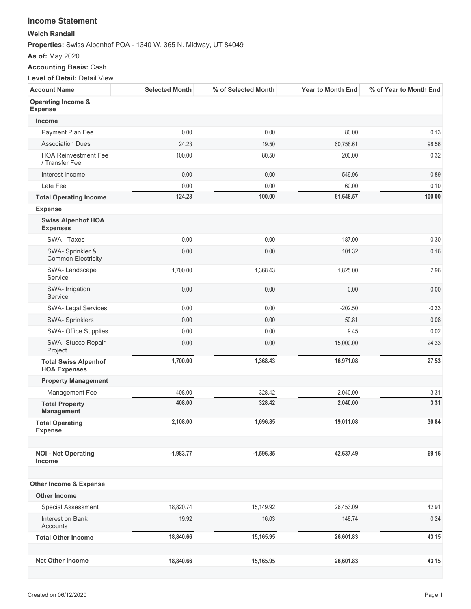### **Income Statement**

#### **Welch Randall**

**Properties:** Swiss Alpenhof POA - 1340 W. 365 N. Midway, UT 84049

**As of:** May 2020

## **Accounting Basis:** Cash

**Level of Detail:** Detail View

| <b>Account Name</b>                                | <b>Selected Month</b> | % of Selected Month | <b>Year to Month End</b> | % of Year to Month End |
|----------------------------------------------------|-----------------------|---------------------|--------------------------|------------------------|
| Operating Income &<br><b>Expense</b>               |                       |                     |                          |                        |
| <b>Income</b>                                      |                       |                     |                          |                        |
| Payment Plan Fee                                   | 0.00                  | 0.00                | 80.00                    | 0.13                   |
| <b>Association Dues</b>                            | 24.23                 | 19.50               | 60,758.61                | 98.56                  |
| <b>HOA Reinvestment Fee</b><br>/ Transfer Fee      | 100.00                | 80.50               | 200.00                   | 0.32                   |
| Interest Income                                    | 0.00                  | 0.00                | 549.96                   | 0.89                   |
| Late Fee                                           | 0.00                  | 0.00                | 60.00                    | 0.10                   |
| <b>Total Operating Income</b>                      | 124.23                | 100.00              | 61,648.57                | 100.00                 |
| <b>Expense</b>                                     |                       |                     |                          |                        |
| <b>Swiss Alpenhof HOA</b><br><b>Expenses</b>       |                       |                     |                          |                        |
| SWA - Taxes                                        | 0.00                  | 0.00                | 187.00                   | 0.30                   |
| SWA- Sprinkler &<br><b>Common Electricity</b>      | 0.00                  | 0.00                | 101.32                   | 0.16                   |
| SWA-Landscape<br>Service                           | 1,700.00              | 1,368.43            | 1,825.00                 | 2.96                   |
| SWA- Irrigation<br>Service                         | 0.00                  | 0.00                | 0.00                     | 0.00                   |
| SWA- Legal Services                                | 0.00                  | 0.00                | $-202.50$                | $-0.33$                |
| SWA- Sprinklers                                    | 0.00                  | 0.00                | 50.81                    | 0.08                   |
| SWA- Office Supplies                               | 0.00                  | 0.00                | 9.45                     | 0.02                   |
| SWA- Stucco Repair<br>Project                      | 0.00                  | 0.00                | 15,000.00                | 24.33                  |
| <b>Total Swiss Alpenhof</b><br><b>HOA Expenses</b> | 1,700.00              | 1,368.43            | 16,971.08                | 27.53                  |
| <b>Property Management</b>                         |                       |                     |                          |                        |
| Management Fee                                     | 408.00                | 328.42              | 2,040.00                 | 3.31                   |
| <b>Total Property</b><br>Management                | 408.00                | 328.42              | 2,040.00                 | 3.31                   |
| <b>Total Operating</b><br>Expense                  | 2,108.00              | 1,696.85            | 19,011.08                | 30.84                  |
| <b>NOI - Net Operating</b><br>Income               | $-1,983.77$           | $-1,596.85$         | 42,637.49                | 69.16                  |
| <b>Other Income &amp; Expense</b>                  |                       |                     |                          |                        |
| <b>Other Income</b>                                |                       |                     |                          |                        |
| Special Assessment                                 | 18,820.74             | 15,149.92           | 26,453.09                | 42.91                  |
| Interest on Bank<br>Accounts                       | 19.92                 | 16.03               | 148.74                   | 0.24                   |
| <b>Total Other Income</b>                          | 18,840.66             | 15,165.95           | 26,601.83                | 43.15                  |
|                                                    |                       |                     |                          |                        |
| <b>Net Other Income</b>                            | 18,840.66             | 15,165.95           | 26,601.83                | 43.15                  |